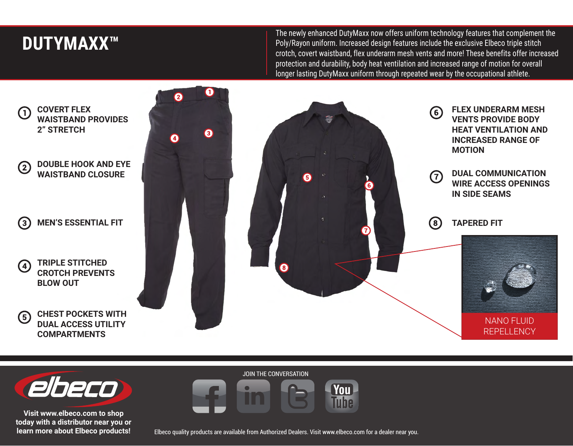## **DUTYMAXX™**

The newly enhanced DutyMaxx now offers uniform technology features that complement the Poly/Rayon uniform. Increased design features include the exclusive Elbeco triple stitch crotch, covert waistband, flex underarm mesh vents and more! These benefits offer increased protection and durability, body heat ventilation and increased range of motion for overall longer lasting DutyMaxx uniform through repeated wear by the occupational athlete.

**COVERT FLEX**  (1) **WAISTBAND PROVIDES 2" STRETCH** 8 Ø **DOUBLE HOOK AND EYE**   $(2)$ **WAISTBAND CLOSURE MEN'S ESSENTIAL FIT**  $\left( 3\right)$ **TRIPLE STITCHED**  (4) **CROTCH PREVENTS BLOW OUT CHEST POCKETS WITH**   $\left(5\right)$ **DUAL ACCESS UTILITY COMPARTMENTS**







**Visit www.elbeco.com to shop today with a distributor near you or learn more about Elbeco products!** JOIN THE CONVERSATION



Elbeco quality products are available from Authorized Dealers. Visit www.elbeco.com for a dealer near you.